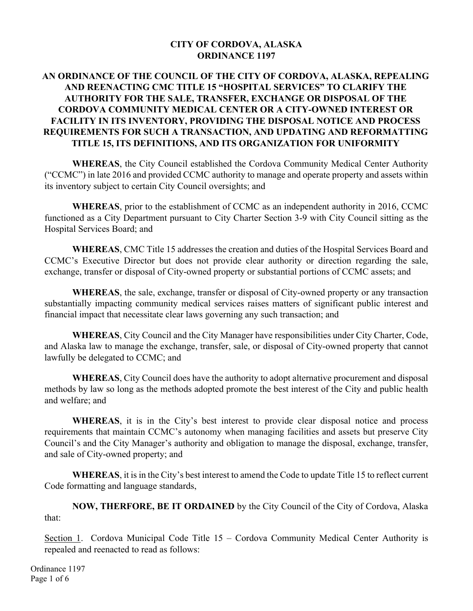#### **CITY OF CORDOVA, ALASKA ORDINANCE 1197**

### **AN ORDINANCE OF THE COUNCIL OF THE CITY OF CORDOVA, ALASKA, REPEALING AND REENACTING CMC TITLE 15 "HOSPITAL SERVICES" TO CLARIFY THE AUTHORITY FOR THE SALE, TRANSFER, EXCHANGE OR DISPOSAL OF THE CORDOVA COMMUNITY MEDICAL CENTER OR A CITY-OWNED INTEREST OR FACILITY IN ITS INVENTORY, PROVIDING THE DISPOSAL NOTICE AND PROCESS REQUIREMENTS FOR SUCH A TRANSACTION, AND UPDATING AND REFORMATTING TITLE 15, ITS DEFINITIONS, AND ITS ORGANIZATION FOR UNIFORMITY**

**WHEREAS**, the City Council established the Cordova Community Medical Center Authority ("CCMC") in late 2016 and provided CCMC authority to manage and operate property and assets within its inventory subject to certain City Council oversights; and

**WHEREAS**, prior to the establishment of CCMC as an independent authority in 2016, CCMC functioned as a City Department pursuant to City Charter Section 3-9 with City Council sitting as the Hospital Services Board; and

**WHEREAS**, CMC Title 15 addresses the creation and duties of the Hospital Services Board and CCMC's Executive Director but does not provide clear authority or direction regarding the sale, exchange, transfer or disposal of City-owned property or substantial portions of CCMC assets; and

**WHEREAS**, the sale, exchange, transfer or disposal of City-owned property or any transaction substantially impacting community medical services raises matters of significant public interest and financial impact that necessitate clear laws governing any such transaction; and

**WHEREAS**, City Council and the City Manager have responsibilities under City Charter, Code, and Alaska law to manage the exchange, transfer, sale, or disposal of City-owned property that cannot lawfully be delegated to CCMC; and

**WHEREAS**, City Council does have the authority to adopt alternative procurement and disposal methods by law so long as the methods adopted promote the best interest of the City and public health and welfare; and

**WHEREAS**, it is in the City's best interest to provide clear disposal notice and process requirements that maintain CCMC's autonomy when managing facilities and assets but preserve City Council's and the City Manager's authority and obligation to manage the disposal, exchange, transfer, and sale of City-owned property; and

**WHEREAS**, it is in the City's best interest to amend the Code to update Title 15 to reflect current Code formatting and language standards,

**NOW, THERFORE, BE IT ORDAINED** by the City Council of the City of Cordova, Alaska that:

Section 1. Cordova Municipal Code Title 15 – Cordova Community Medical Center Authority is repealed and reenacted to read as follows:

Ordinance 1197 Page 1 of 6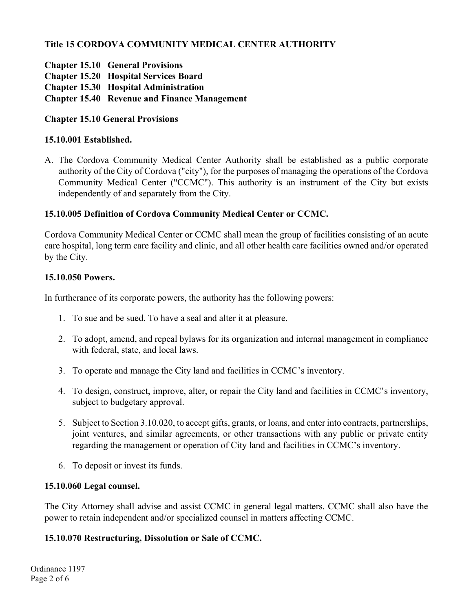# **Title 15 CORDOVA COMMUNITY MEDICAL CENTER AUTHORITY**

- **Chapter 15.10 General Provisions**
- **Chapter 15.20 Hospital Services Board**
- **Chapter 15.30 Hospital Administration**
- **Chapter 15.40 Revenue and Finance Management**

# **Chapter 15.10 General Provisions**

## **15.10.001 Established.**

A. The Cordova Community Medical Center Authority shall be established as a public corporate authority of the City of Cordova ("city"), for the purposes of managing the operations of the Cordova Community Medical Center ("CCMC"). This authority is an instrument of the City but exists independently of and separately from the City.

# **15.10.005 Definition of Cordova Community Medical Center or CCMC.**

Cordova Community Medical Center or CCMC shall mean the group of facilities consisting of an acute care hospital, long term care facility and clinic, and all other health care facilities owned and/or operated by the City.

## **15.10.050 Powers.**

In furtherance of its corporate powers, the authority has the following powers:

- 1. To sue and be sued. To have a seal and alter it at pleasure.
- 2. To adopt, amend, and repeal bylaws for its organization and internal management in compliance with federal, state, and local laws.
- 3. To operate and manage the City land and facilities in CCMC's inventory.
- 4. To design, construct, improve, alter, or repair the City land and facilities in CCMC's inventory, subject to budgetary approval.
- 5. Subject to Section 3.10.020, to accept gifts, grants, or loans, and enter into contracts, partnerships, joint ventures, and similar agreements, or other transactions with any public or private entity regarding the management or operation of City land and facilities in CCMC's inventory.
- 6. To deposit or invest its funds.

## **15.10.060 Legal counsel.**

The City Attorney shall advise and assist CCMC in general legal matters. CCMC shall also have the power to retain independent and/or specialized counsel in matters affecting CCMC.

# **15.10.070 Restructuring, Dissolution or Sale of CCMC.**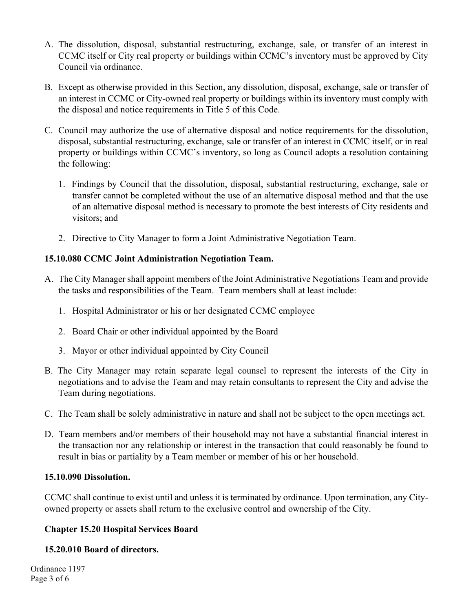- A. The dissolution, disposal, substantial restructuring, exchange, sale, or transfer of an interest in CCMC itself or City real property or buildings within CCMC's inventory must be approved by City Council via ordinance.
- B. Except as otherwise provided in this Section, any dissolution, disposal, exchange, sale or transfer of an interest in CCMC or City-owned real property or buildings within its inventory must comply with the disposal and notice requirements in Title 5 of this Code.
- C. Council may authorize the use of alternative disposal and notice requirements for the dissolution, disposal, substantial restructuring, exchange, sale or transfer of an interest in CCMC itself, or in real property or buildings within CCMC's inventory, so long as Council adopts a resolution containing the following:
	- 1. Findings by Council that the dissolution, disposal, substantial restructuring, exchange, sale or transfer cannot be completed without the use of an alternative disposal method and that the use of an alternative disposal method is necessary to promote the best interests of City residents and visitors; and
	- 2. Directive to City Manager to form a Joint Administrative Negotiation Team.

## **15.10.080 CCMC Joint Administration Negotiation Team.**

- A. The City Manager shall appoint members of the Joint Administrative Negotiations Team and provide the tasks and responsibilities of the Team. Team members shall at least include:
	- 1. Hospital Administrator or his or her designated CCMC employee
	- 2. Board Chair or other individual appointed by the Board
	- 3. Mayor or other individual appointed by City Council
- B. The City Manager may retain separate legal counsel to represent the interests of the City in negotiations and to advise the Team and may retain consultants to represent the City and advise the Team during negotiations.
- C. The Team shall be solely administrative in nature and shall not be subject to the open meetings act.
- D. Team members and/or members of their household may not have a substantial financial interest in the transaction nor any relationship or interest in the transaction that could reasonably be found to result in bias or partiality by a Team member or member of his or her household.

#### **15.10.090 Dissolution.**

CCMC shall continue to exist until and unless it is terminated by ordinance. Upon termination, any Cityowned property or assets shall return to the exclusive control and ownership of the City.

## **Chapter 15.20 Hospital Services Board**

#### **15.20.010 Board of directors.**

Ordinance 1197 Page 3 of 6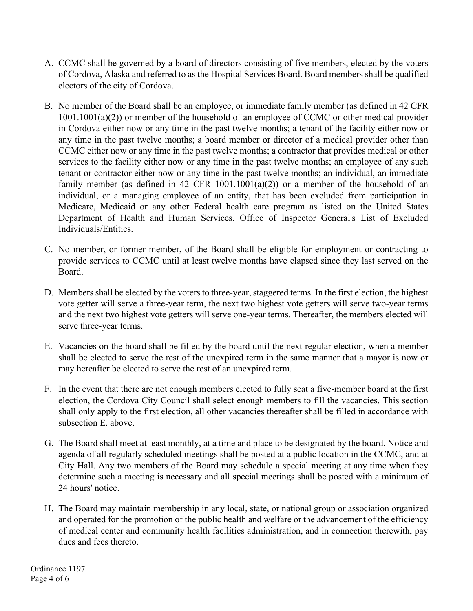- A. CCMC shall be governed by a board of directors consisting of five members, elected by the voters of Cordova, Alaska and referred to as the Hospital Services Board. Board members shall be qualified electors of the city of Cordova.
- B. No member of the Board shall be an employee, or immediate family member (as defined in 42 CFR 1001.1001(a)(2)) or member of the household of an employee of CCMC or other medical provider in Cordova either now or any time in the past twelve months; a tenant of the facility either now or any time in the past twelve months; a board member or director of a medical provider other than CCMC either now or any time in the past twelve months; a contractor that provides medical or other services to the facility either now or any time in the past twelve months; an employee of any such tenant or contractor either now or any time in the past twelve months; an individual, an immediate family member (as defined in 42 CFR  $1001.1001(a)(2)$ ) or a member of the household of an individual, or a managing employee of an entity, that has been excluded from participation in Medicare, Medicaid or any other Federal health care program as listed on the United States Department of Health and Human Services, Office of Inspector General's List of Excluded Individuals/Entities.
- C. No member, or former member, of the Board shall be eligible for employment or contracting to provide services to CCMC until at least twelve months have elapsed since they last served on the Board.
- D. Members shall be elected by the voters to three-year, staggered terms. In the first election, the highest vote getter will serve a three-year term, the next two highest vote getters will serve two-year terms and the next two highest vote getters will serve one-year terms. Thereafter, the members elected will serve three-year terms.
- E. Vacancies on the board shall be filled by the board until the next regular election, when a member shall be elected to serve the rest of the unexpired term in the same manner that a mayor is now or may hereafter be elected to serve the rest of an unexpired term.
- F. In the event that there are not enough members elected to fully seat a five-member board at the first election, the Cordova City Council shall select enough members to fill the vacancies. This section shall only apply to the first election, all other vacancies thereafter shall be filled in accordance with subsection E. above.
- G. The Board shall meet at least monthly, at a time and place to be designated by the board. Notice and agenda of all regularly scheduled meetings shall be posted at a public location in the CCMC, and at City Hall. Any two members of the Board may schedule a special meeting at any time when they determine such a meeting is necessary and all special meetings shall be posted with a minimum of 24 hours' notice.
- H. The Board may maintain membership in any local, state, or national group or association organized and operated for the promotion of the public health and welfare or the advancement of the efficiency of medical center and community health facilities administration, and in connection therewith, pay dues and fees thereto.

Ordinance 1197 Page 4 of 6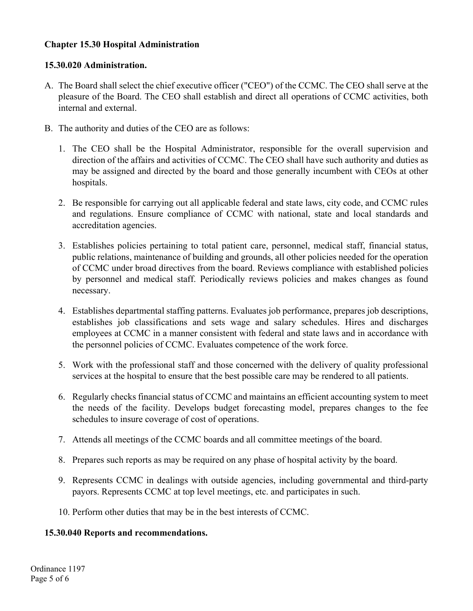### **Chapter 15.30 Hospital Administration**

#### **15.30.020 Administration.**

- A. The Board shall select the chief executive officer ("CEO") of the CCMC. The CEO shall serve at the pleasure of the Board. The CEO shall establish and direct all operations of CCMC activities, both internal and external.
- B. The authority and duties of the CEO are as follows:
	- 1. The CEO shall be the Hospital Administrator, responsible for the overall supervision and direction of the affairs and activities of CCMC. The CEO shall have such authority and duties as may be assigned and directed by the board and those generally incumbent with CEOs at other hospitals.
	- 2. Be responsible for carrying out all applicable federal and state laws, city code, and CCMC rules and regulations. Ensure compliance of CCMC with national, state and local standards and accreditation agencies.
	- 3. Establishes policies pertaining to total patient care, personnel, medical staff, financial status, public relations, maintenance of building and grounds, all other policies needed for the operation of CCMC under broad directives from the board. Reviews compliance with established policies by personnel and medical staff. Periodically reviews policies and makes changes as found necessary.
	- 4. Establishes departmental staffing patterns. Evaluates job performance, prepares job descriptions, establishes job classifications and sets wage and salary schedules. Hires and discharges employees at CCMC in a manner consistent with federal and state laws and in accordance with the personnel policies of CCMC. Evaluates competence of the work force.
	- 5. Work with the professional staff and those concerned with the delivery of quality professional services at the hospital to ensure that the best possible care may be rendered to all patients.
	- 6. Regularly checks financial status of CCMC and maintains an efficient accounting system to meet the needs of the facility. Develops budget forecasting model, prepares changes to the fee schedules to insure coverage of cost of operations.
	- 7. Attends all meetings of the CCMC boards and all committee meetings of the board.
	- 8. Prepares such reports as may be required on any phase of hospital activity by the board.
	- 9. Represents CCMC in dealings with outside agencies, including governmental and third-party payors. Represents CCMC at top level meetings, etc. and participates in such.
	- 10. Perform other duties that may be in the best interests of CCMC.

#### **15.30.040 Reports and recommendations.**